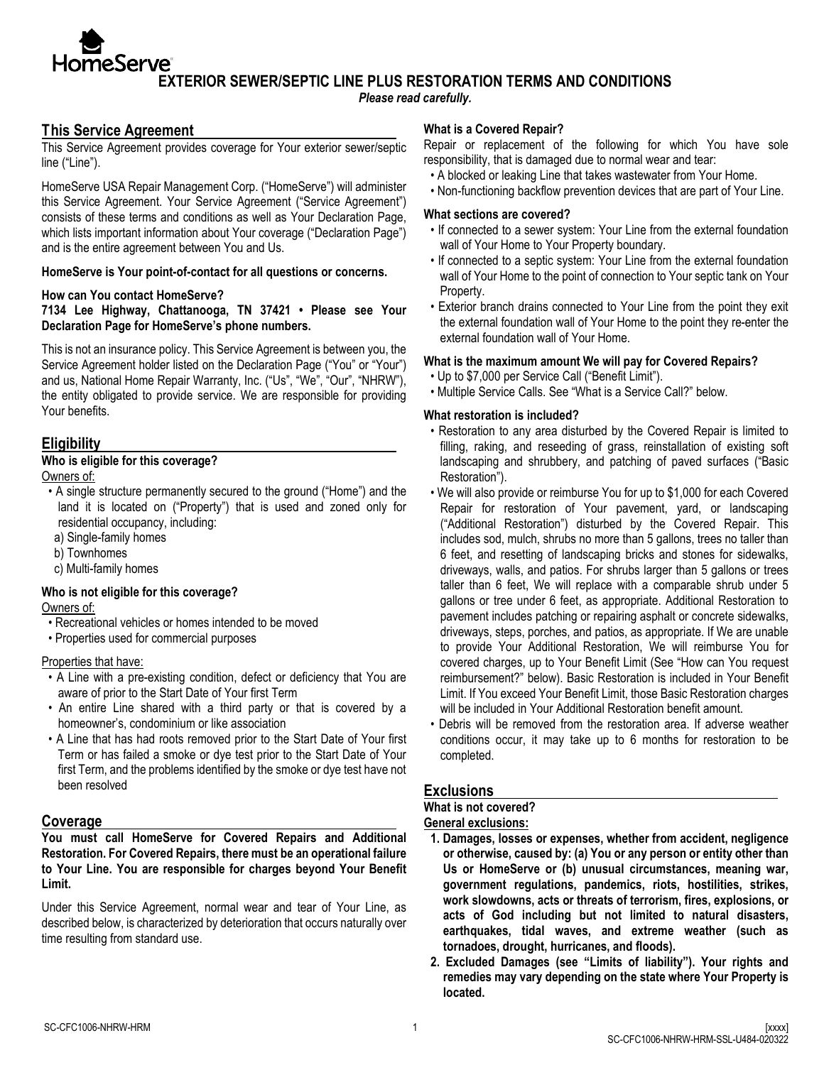**EXTERIOR SEWER/SEPTIC LINE PLUS RESTORATION TERMS AND CONDITIONS**

*Please read carefully.*

# **This Service Agreement**

**HomeServe**®

This Service Agreement provides coverage for Your exterior sewer/septic line ("Line").

HomeServe USA Repair Management Corp. ("HomeServe") will administer this Service Agreement. Your Service Agreement ("Service Agreement") consists of these terms and conditions as well as Your Declaration Page, which lists important information about Your coverage ("Declaration Page") and is the entire agreement between You and Us.

### **HomeServe is Your point-of-contact for all questions or concerns.**

#### **How can You contact HomeServe?**

#### **7134 Lee Highway, Chattanooga, TN 37421 • Please see Your Declaration Page for HomeServe's phone numbers.**

This is not an insurance policy. This Service Agreement is between you, the Service Agreement holder listed on the Declaration Page ("You" or "Your") and us, National Home Repair Warranty, Inc. ("Us", "We", "Our", "NHRW"), the entity obligated to provide service. We are responsible for providing Your benefits.

## **Eligibility**

## **Who is eligible for this coverage?**

Owners of:

- A single structure permanently secured to the ground ("Home") and the land it is located on ("Property") that is used and zoned only for residential occupancy, including:
	- a) Single-family homes
	- b) Townhomes
	- c) Multi-family homes

### **Who is not eligible for this coverage?**

Owners of:

- Recreational vehicles or homes intended to be moved
- Properties used for commercial purposes

#### Properties that have:

- A Line with a pre-existing condition, defect or deficiency that You are aware of prior to the Start Date of Your first Term
- An entire Line shared with a third party or that is covered by a homeowner's, condominium or like association
- A Line that has had roots removed prior to the Start Date of Your first Term or has failed a smoke or dye test prior to the Start Date of Your first Term, and the problems identified by the smoke or dye test have not been resolved

### **Coverage**

**You must call HomeServe for Covered Repairs and Additional Restoration. For Covered Repairs, there must be an operational failure to Your Line. You are responsible for charges beyond Your Benefit Limit.** 

Under this Service Agreement, normal wear and tear of Your Line, as described below, is characterized by deterioration that occurs naturally over time resulting from standard use.

### **What is a Covered Repair?**

Repair or replacement of the following for which You have sole responsibility, that is damaged due to normal wear and tear:

- A blocked or leaking Line that takes wastewater from Your Home.
- Non-functioning backflow prevention devices that are part of Your Line.

#### **What sections are covered?**

- If connected to a sewer system: Your Line from the external foundation wall of Your Home to Your Property boundary.
- If connected to a septic system: Your Line from the external foundation wall of Your Home to the point of connection to Your septic tank on Your Property.
- Exterior branch drains connected to Your Line from the point they exit the external foundation wall of Your Home to the point they re-enter the external foundation wall of Your Home.

### **What is the maximum amount We will pay for Covered Repairs?**

- Up to \$7,000 per Service Call ("Benefit Limit").
- Multiple Service Calls. See "What is a Service Call?" below.

### **What restoration is included?**

- Restoration to any area disturbed by the Covered Repair is limited to filling, raking, and reseeding of grass, reinstallation of existing soft landscaping and shrubbery, and patching of paved surfaces ("Basic Restoration").
- We will also provide or reimburse You for up to \$1,000 for each Covered Repair for restoration of Your pavement, yard, or landscaping ("Additional Restoration") disturbed by the Covered Repair. This includes sod, mulch, shrubs no more than 5 gallons, trees no taller than 6 feet, and resetting of landscaping bricks and stones for sidewalks, driveways, walls, and patios. For shrubs larger than 5 gallons or trees taller than 6 feet, We will replace with a comparable shrub under 5 gallons or tree under 6 feet, as appropriate. Additional Restoration to pavement includes patching or repairing asphalt or concrete sidewalks, driveways, steps, porches, and patios, as appropriate. If We are unable to provide Your Additional Restoration, We will reimburse You for covered charges, up to Your Benefit Limit (See "How can You request reimbursement?" below). Basic Restoration is included in Your Benefit Limit. If You exceed Your Benefit Limit, those Basic Restoration charges will be included in Your Additional Restoration benefit amount.
- Debris will be removed from the restoration area. If adverse weather conditions occur, it may take up to 6 months for restoration to be completed.

# **Exclusions**

### **What is not covered?**

**General exclusions:**

- **1. Damages, losses or expenses, whether from accident, negligence or otherwise, caused by: (a) You or any person or entity other than Us or HomeServe or (b) unusual circumstances, meaning war, government regulations, pandemics, riots, hostilities, strikes, work slowdowns, acts or threats of terrorism, fires, explosions, or acts of God including but not limited to natural disasters, earthquakes, tidal waves, and extreme weather (such as tornadoes, drought, hurricanes, and floods).**
- **2. Excluded Damages (see "Limits of liability"). Your rights and remedies may vary depending on the state where Your Property is located.**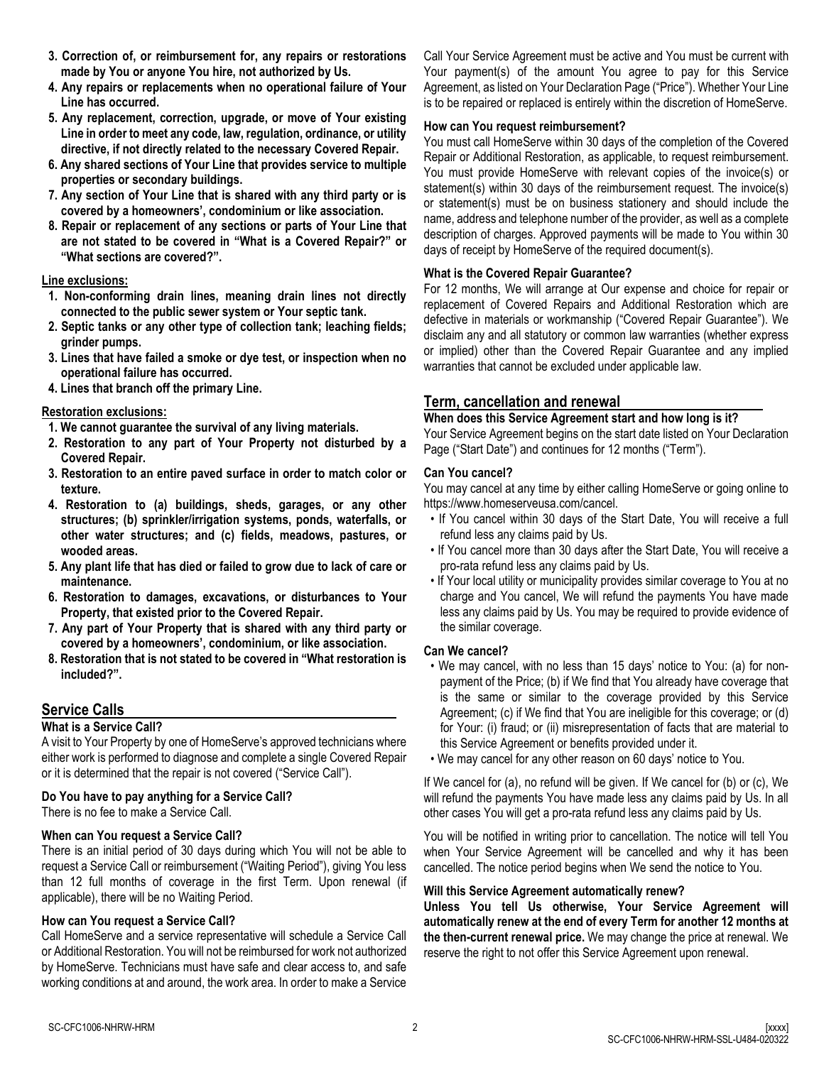- **3. Correction of, or reimbursement for, any repairs or restorations made by You or anyone You hire, not authorized by Us.**
- **4. Any repairs or replacements when no operational failure of Your Line has occurred.**
- **5. Any replacement, correction, upgrade, or move of Your existing Line in order to meet any code, law, regulation, ordinance, or utility directive, if not directly related to the necessary Covered Repair.**
- **6. Any shared sections of Your Line that provides service to multiple properties or secondary buildings.**
- **7. Any section of Your Line that is shared with any third party or is covered by a homeowners', condominium or like association.**
- **8. Repair or replacement of any sections or parts of Your Line that are not stated to be covered in "What is a Covered Repair?" or "What sections are covered?".**

### **Line exclusions:**

- **1. Non-conforming drain lines, meaning drain lines not directly connected to the public sewer system or Your septic tank.**
- **2. Septic tanks or any other type of collection tank; leaching fields; grinder pumps.**
- **3. Lines that have failed a smoke or dye test, or inspection when no operational failure has occurred.**
- **4. Lines that branch off the primary Line.**

### **Restoration exclusions:**

- **1. We cannot guarantee the survival of any living materials.**
- **2. Restoration to any part of Your Property not disturbed by a Covered Repair.**
- **3. Restoration to an entire paved surface in order to match color or texture.**
- **4. Restoration to (a) buildings, sheds, garages, or any other structures; (b) sprinkler/irrigation systems, ponds, waterfalls, or other water structures; and (c) fields, meadows, pastures, or wooded areas.**
- **5. Any plant life that has died or failed to grow due to lack of care or maintenance.**
- **6. Restoration to damages, excavations, or disturbances to Your Property, that existed prior to the Covered Repair.**
- **7. Any part of Your Property that is shared with any third party or covered by a homeowners', condominium, or like association.**
- **8. Restoration that is not stated to be covered in "What restoration is included?".**

# **Service Calls**

### **What is a Service Call?**

A visit to Your Property by one of HomeServe's approved technicians where either work is performed to diagnose and complete a single Covered Repair or it is determined that the repair is not covered ("Service Call").

#### **Do You have to pay anything for a Service Call?**

There is no fee to make a Service Call.

# **When can You request a Service Call?**

There is an initial period of 30 days during which You will not be able to request a Service Call or reimbursement ("Waiting Period"), giving You less than 12 full months of coverage in the first Term. Upon renewal (if applicable), there will be no Waiting Period.

### **How can You request a Service Call?**

Call HomeServe and a service representative will schedule a Service Call or Additional Restoration. You will not be reimbursed for work not authorized by HomeServe. Technicians must have safe and clear access to, and safe working conditions at and around, the work area. In order to make a Service Call Your Service Agreement must be active and You must be current with Your payment(s) of the amount You agree to pay for this Service Agreement, as listed on Your Declaration Page ("Price"). Whether Your Line is to be repaired or replaced is entirely within the discretion of HomeServe.

#### **How can You request reimbursement?**

You must call HomeServe within 30 days of the completion of the Covered Repair or Additional Restoration, as applicable, to request reimbursement. You must provide HomeServe with relevant copies of the invoice(s) or statement(s) within 30 days of the reimbursement request. The invoice(s) or statement(s) must be on business stationery and should include the name, address and telephone number of the provider, as well as a complete description of charges. Approved payments will be made to You within 30 days of receipt by HomeServe of the required document(s).

### **What is the Covered Repair Guarantee?**

For 12 months, We will arrange at Our expense and choice for repair or replacement of Covered Repairs and Additional Restoration which are defective in materials or workmanship ("Covered Repair Guarantee"). We disclaim any and all statutory or common law warranties (whether express or implied) other than the Covered Repair Guarantee and any implied warranties that cannot be excluded under applicable law.

# **Term, cancellation and renewal**

### **When does this Service Agreement start and how long is it?**

Your Service Agreement begins on the start date listed on Your Declaration Page ("Start Date") and continues for 12 months ("Term").

### **Can You cancel?**

You may cancel at any time by either calling HomeServe or going online to https://www.homeserveusa.com/cancel.

- If You cancel within 30 days of the Start Date, You will receive a full refund less any claims paid by Us.
- If You cancel more than 30 days after the Start Date, You will receive a pro-rata refund less any claims paid by Us.
- If Your local utility or municipality provides similar coverage to You at no charge and You cancel, We will refund the payments You have made less any claims paid by Us. You may be required to provide evidence of the similar coverage.

### **Can We cancel?**

- We may cancel, with no less than 15 days' notice to You: (a) for nonpayment of the Price; (b) if We find that You already have coverage that is the same or similar to the coverage provided by this Service Agreement; (c) if We find that You are ineligible for this coverage; or (d) for Your: (i) fraud; or (ii) misrepresentation of facts that are material to this Service Agreement or benefits provided under it.
- We may cancel for any other reason on 60 days' notice to You.

If We cancel for (a), no refund will be given. If We cancel for (b) or (c), We will refund the payments You have made less any claims paid by Us. In all other cases You will get a pro-rata refund less any claims paid by Us.

You will be notified in writing prior to cancellation. The notice will tell You when Your Service Agreement will be cancelled and why it has been cancelled. The notice period begins when We send the notice to You.

#### **Will this Service Agreement automatically renew?**

**Unless You tell Us otherwise, Your Service Agreement will automatically renew at the end of every Term for another 12 months at the then-current renewal price.** We may change the price at renewal. We reserve the right to not offer this Service Agreement upon renewal.